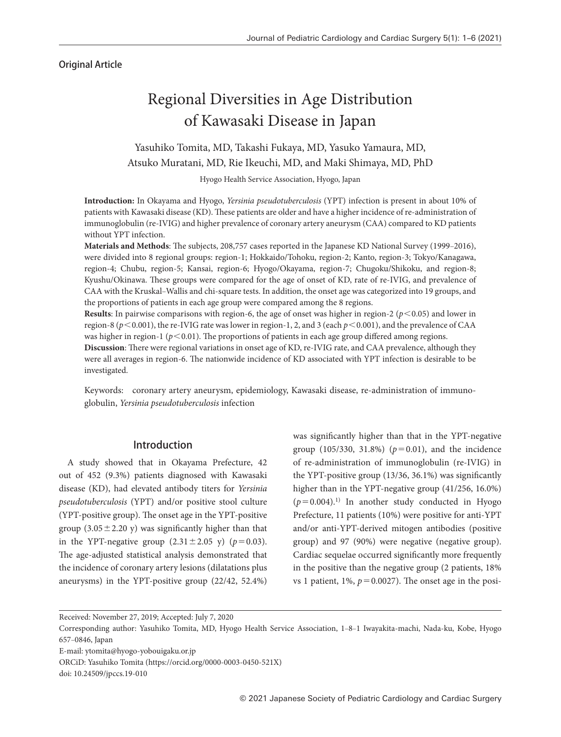## Original Article

# Regional Diversities in Age Distribution of Kawasaki Disease in Japan

## Yasuhiko Tomita, MD, Takashi Fukaya, MD, Yasuko Yamaura, MD, Atsuko Muratani, MD, Rie Ikeuchi, MD, and Maki Shimaya, MD, PhD

Hyogo Health Service Association, Hyogo, Japan

**Introduction:** In Okayama and Hyogo, *Yersinia pseudotuberculosis* (YPT) infection is present in about 10% of patients with Kawasaki disease (KD). These patients are older and have a higher incidence of re-administration of immunoglobulin (re-IVIG) and higher prevalence of coronary artery aneurysm (CAA) compared to KD patients without YPT infection.

Materials and Methods: The subjects, 208,757 cases reported in the Japanese KD National Survey (1999-2016), were divided into 8 regional groups: region-1; Hokkaido/Tohoku, region-2; Kanto, region-3; Tokyo/Kanagawa, region-4; Chubu, region-5; Kansai, region-6; Hyogo/Okayama, region-7; Chugoku/Shikoku, and region-8; Kyushu/Okinawa. These groups were compared for the age of onset of KD, rate of re-IVIG, and prevalence of CAA with the Kruskal–Wallis and chi-square tests. In addition, the onset age was categorized into 19 groups, and the proportions of patients in each age group were compared among the 8 regions.

**Results**: In pairwise comparisons with region-6, the age of onset was higher in region-2 ( $p$ <0.05) and lower in region-8 (*p*<0.001), the re-IVIG rate was lower in region-1, 2, and 3 (each *p*<0.001), and the prevalence of CAA was higher in region-1 ( $p$ <0.01). The proportions of patients in each age group differed among regions.

**Discussion**: There were regional variations in onset age of KD, re-IVIG rate, and CAA prevalence, although they were all averages in region-6. The nationwide incidence of KD associated with YPT infection is desirable to be investigated.

Keywords: coronary artery aneurysm, epidemiology, Kawasaki disease, re-administration of immunoglobulin, *Yersinia pseudotuberculosis* infection

## Introduction

A study showed that in Okayama Prefecture, 42 out of 452 (9.3%) patients diagnosed with Kawasaki disease (KD), had elevated antibody titers for *Yersinia pseudotuberculosis* (YPT) and/or positive stool culture (YPT-positive group). The onset age in the YPT-positive group  $(3.05 \pm 2.20 \text{ y})$  was significantly higher than that in the YPT-negative group  $(2.31 \pm 2.05 \text{ y})$  ( $p = 0.03$ ). The age-adjusted statistical analysis demonstrated that the incidence of coronary artery lesions (dilatations plus aneurysms) in the YPT-positive group (22/42, 52.4%) was signicantly higher than that in the YPT-negative group (105/330, 31.8%) ( $p=0.01$ ), and the incidence of re-administration of immunoglobulin (re-IVIG) in the YPT-positive group (13/36, 36.1%) was signicantly higher than in the YPT-negative group (41/256, 16.0%)  $(p=0.004).$ <sup>1)</sup> In another study conducted in Hyogo Prefecture, 11 patients (10%) were positive for anti-YPT and/or anti-YPT-derived mitogen antibodies (positive group) and 97 (90%) were negative (negative group). Cardiac sequelae occurred significantly more frequently in the positive than the negative group (2 patients, 18% vs 1 patient,  $1\%$ ,  $p = 0.0027$ ). The onset age in the posi-

Received: November 27, 2019; Accepted: July 7, 2020

Corresponding author: Yasuhiko Tomita, MD, Hyogo Health Service Association, 1‒8‒1 Iwayakita-machi, Nada-ku, Kobe, Hyogo 657‒0846, Japan

E-mail: ytomita@hyogo-yobouigaku.or.jp

ORCiD: Yasuhiko Tomita (https://orcid.org/0000-0003-0450-521X)

doi: 10.24509/jpccs.19-010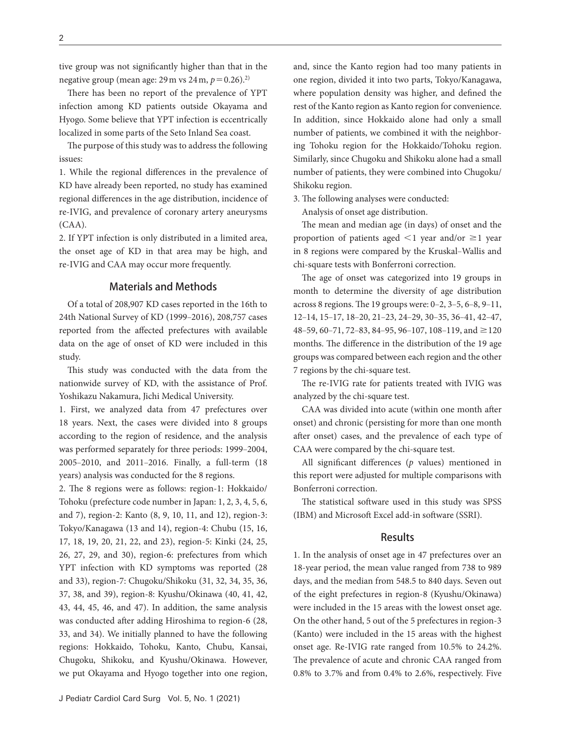tive group was not signicantly higher than that in the negative group (mean age:  $29 \text{ m}$  vs  $24 \text{ m}$ ,  $p = 0.26$ ).<sup>2)</sup>

There has been no report of the prevalence of YPT infection among KD patients outside Okayama and Hyogo. Some believe that YPT infection is eccentrically localized in some parts of the Seto Inland Sea coast.

The purpose of this study was to address the following issues:

1. While the regional differences in the prevalence of KD have already been reported, no study has examined regional differences in the age distribution, incidence of re-IVIG, and prevalence of coronary artery aneurysms (CAA).

2. If YPT infection is only distributed in a limited area, the onset age of KD in that area may be high, and re-IVIG and CAA may occur more frequently.

#### Materials and Methods

Of a total of 208,907 KD cases reported in the 16th to 24th National Survey of KD (1999-2016), 208,757 cases reported from the affected prefectures with available data on the age of onset of KD were included in this study.

This study was conducted with the data from the nationwide survey of KD, with the assistance of Prof. Yoshikazu Nakamura, Jichi Medical University.

1. First, we analyzed data from 47 prefectures over 18 years. Next, the cases were divided into 8 groups according to the region of residence, and the analysis was performed separately for three periods: 1999–2004, 2005-2010, and 2011-2016. Finally, a full-term (18 years) analysis was conducted for the 8 regions.

2. The 8 regions were as follows: region-1: Hokkaido/ Tohoku (prefecture code number in Japan: 1, 2, 3, 4, 5, 6, and 7), region-2: Kanto (8, 9, 10, 11, and 12), region-3: Tokyo/Kanagawa (13 and 14), region-4: Chubu (15, 16, 17, 18, 19, 20, 21, 22, and 23), region-5: Kinki (24, 25, 26, 27, 29, and 30), region-6: prefectures from which YPT infection with KD symptoms was reported (28 and 33), region-7: Chugoku/Shikoku (31, 32, 34, 35, 36, 37, 38, and 39), region-8: Kyushu/Okinawa (40, 41, 42, 43, 44, 45, 46, and 47). In addition, the same analysis was conducted after adding Hiroshima to region-6 (28, 33, and 34). We initially planned to have the following regions: Hokkaido, Tohoku, Kanto, Chubu, Kansai, Chugoku, Shikoku, and Kyushu/Okinawa. However, we put Okayama and Hyogo together into one region, and, since the Kanto region had too many patients in one region, divided it into two parts, Tokyo/Kanagawa, where population density was higher, and defined the rest of the Kanto region as Kanto region for convenience. In addition, since Hokkaido alone had only a small number of patients, we combined it with the neighboring Tohoku region for the Hokkaido/Tohoku region. Similarly, since Chugoku and Shikoku alone had a small number of patients, they were combined into Chugoku/ Shikoku region.

3. The following analyses were conducted:

Analysis of onset age distribution.

The mean and median age (in days) of onset and the proportion of patients aged  $\leq 1$  year and/or  $\geq 1$  year in 8 regions were compared by the Kruskal-Wallis and chi-square tests with Bonferroni correction.

The age of onset was categorized into 19 groups in month to determine the diversity of age distribution across 8 regions. The 19 groups were:  $0-2$ ,  $3-5$ ,  $6-8$ ,  $9-11$ , 12‒14, 15‒17, 18‒20, 21‒23, 24‒29, 30‒35, 36‒41, 42‒47, 48–59, 60–71, 72–83, 84–95, 96–107, 108–119, and  $\geq$ 120 months. The difference in the distribution of the 19 age groups was compared between each region and the other 7 regions by the chi-square test.

The re-IVIG rate for patients treated with IVIG was analyzed by the chi-square test.

CAA was divided into acute (within one month after onset) and chronic (persisting for more than one month after onset) cases, and the prevalence of each type of CAA were compared by the chi-square test.

All significant differences  $(p \text{ values})$  mentioned in this report were adjusted for multiple comparisons with Bonferroni correction.

The statistical software used in this study was SPSS (IBM) and Microsoft Excel add-in software (SSRI).

## Results

1. In the analysis of onset age in 47 prefectures over an 18-year period, the mean value ranged from 738 to 989 days, and the median from 548.5 to 840 days. Seven out of the eight prefectures in region-8 (Kyushu/Okinawa) were included in the 15 areas with the lowest onset age. On the other hand, 5 out of the 5 prefectures in region-3 (Kanto) were included in the 15 areas with the highest onset age. Re-IVIG rate ranged from 10.5% to 24.2%. The prevalence of acute and chronic CAA ranged from 0.8% to 3.7% and from 0.4% to 2.6%, respectively. Five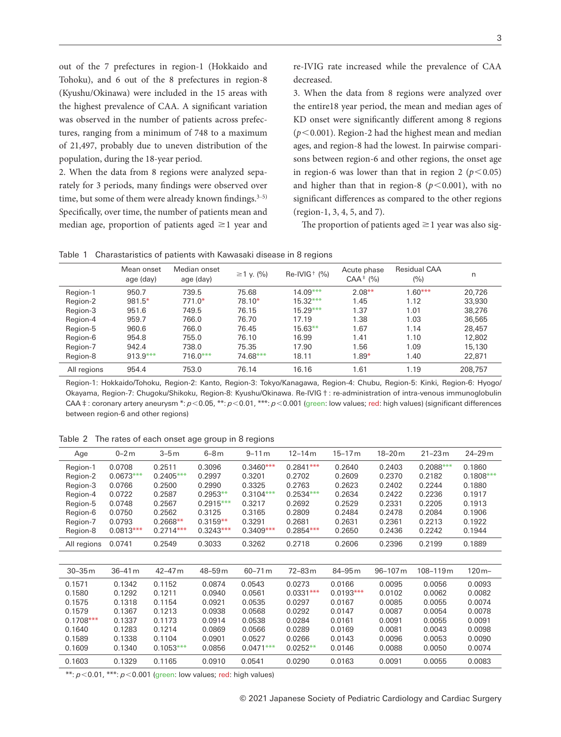out of the 7 prefectures in region-1 (Hokkaido and Tohoku), and 6 out of the 8 prefectures in region-8 (Kyushu/Okinawa) were included in the 15 areas with the highest prevalence of CAA. A significant variation was observed in the number of patients across prefectures, ranging from a minimum of 748 to a maximum of 21,497, probably due to uneven distribution of the population, during the 18-year period.

2. When the data from 8 regions were analyzed separately for 3 periods, many findings were observed over time, but some of them were already known findings. $3-5$ ) Specifically, over time, the number of patients mean and median age, proportion of patients aged  $\geq$  1 year and re-IVIG rate increased while the prevalence of CAA decreased.

3. When the data from 8 regions were analyzed over the entire18 year period, the mean and median ages of KD onset were significantly different among 8 regions (*p*<0.001). Region-2 had the highest mean and median ages, and region-8 had the lowest. In pairwise comparisons between region-6 and other regions, the onset age in region-6 was lower than that in region 2 ( $p < 0.05$ ) and higher than that in region-8 ( $p$ <0.001), with no significant differences as compared to the other regions (region-1, 3, 4, 5, and 7).

The proportion of patients aged  $\geq$  1 year was also sig-

Table 1 Charastaristics of patients with Kawasaki disease in 8 regions

|             | Mean onset<br>age (day) | Median onset<br>age (day) | $≥1$ y. (%) | $Re-IVIG^{+}$ (%) | Acute phase<br>$CAA$ <sup><math>\pm</math></sup> (%) | <b>Residual CAA</b><br>(%) | n       |
|-------------|-------------------------|---------------------------|-------------|-------------------|------------------------------------------------------|----------------------------|---------|
| Region-1    | 950.7                   | 739.5                     | 75.68       | $14.09***$        | $2.08***$                                            | $1.60***$                  | 20.726  |
| Region-2    | $981.5*$                | $771.0*$                  | $78.10*$    | $15.32***$        | 1.45                                                 | 1.12                       | 33.930  |
| Region-3    | 951.6                   | 749.5                     | 76.15       | $15.29***$        | 1.37                                                 | 1.01                       | 38.276  |
| Region-4    | 959.7                   | 766.0                     | 76.70       | 17.19             | 1.38                                                 | 1.03                       | 36.565  |
| Region-5    | 960.6                   | 766.0                     | 76.45       | $15.63**$         | 1.67                                                 | 1.14                       | 28,457  |
| Region-6    | 954.8                   | 755.0                     | 76.10       | 16.99             | 1.41                                                 | 1.10                       | 12,802  |
| Region-7    | 942.4                   | 738.0                     | 75.35       | 17.90             | 1.56                                                 | 1.09                       | 15.130  |
| Region-8    | $913.9***$              | $716.0***$                | 74.68***    | 18.11             | $1.89*$                                              | 1.40                       | 22,871  |
| All regions | 954.4                   | 753.0                     | 76.14       | 16.16             | 1.61                                                 | 1.19                       | 208.757 |

Region-1: Hokkaido/Tohoku, Region-2: Kanto, Region-3: Tokyo/Kanagawa, Region-4: Chubu, Region-5: Kinki, Region-6: Hyogo/ Okayama, Region-7: Chugoku/Shikoku, Region-8: Kyushu/Okinawa. Re-IVIG†: re-administration of intra-venous immunoglobulin CAA‡: coronary artery aneurysm \*:  $p$ <0.05, \*\*:  $p$ <0.01, \*\*\*:  $p$ <0.001 (green: low values; red: high values) (significant differences between region-6 and other regions)

| Age         | $0-2m$      | 3–5 m              | $6-8m$             | $9 - 11m$   | 12–14 m     | 15–17 <sub>m</sub> | 18-20 <sub>m</sub> | $21 - 23m$   | $24 - 29m$  |
|-------------|-------------|--------------------|--------------------|-------------|-------------|--------------------|--------------------|--------------|-------------|
| Region-1    | 0.0708      | 0.2511             | 0.3096             | $0.3460***$ | $0.2841***$ | 0.2640             | 0.2403             | $0.2088***$  | 0.1860      |
| Region-2    | $0.0673***$ | $0.2405***$        | 0.2997             | 0.3201      | 0.2702      | 0.2609             | 0.2370             | 0.2182       | $0.1808***$ |
| Region-3    | 0.0766      | 0.2500             | 0.2990             | 0.3325      | 0.2763      | 0.2623             | 0.2402             | 0.2244       | 0.1880      |
| Region-4    | 0.0722      | 0.2587             | $0.2953**$         | $0.3104***$ | $0.2534***$ | 0.2634             | 0.2422             | 0.2236       | 0.1917      |
| Region-5    | 0.0748      | 0.2567             | $0.2915***$        | 0.3217      | 0.2692      | 0.2529             | 0.2331             | 0.2205       | 0.1913      |
| Region-6    | 0.0750      | 0.2562             | 0.3125             | 0.3165      | 0.2809      | 0.2484             | 0.2478             | 0.2084       | 0.1906      |
| Region-7    | 0.0793      | $0.2668**$         | $0.3159**$         | 0.3291      | 0.2681      | 0.2631             | 0.2361             | 0.2213       | 0.1922      |
| Region-8    | $0.0813***$ | $0.2714***$        | $0.3243***$        | $0.3409***$ | $0.2854***$ | 0.2650             | 0.2436             | 0.2242       | 0.1944      |
| All regions | 0.0741      | 0.2549             | 0.3033             | 0.3262      | 0.2718      | 0.2606             | 0.2396             | 0.2199       | 0.1889      |
|             |             |                    |                    |             |             |                    |                    |              |             |
| $30 - 35m$  | $36 - 41m$  | 42-47 <sub>m</sub> | 48-59 <sub>m</sub> | $60 - 71 m$ | 72-83m      | 84-95 m            | 96-107m            | $108 - 119m$ | $120m -$    |
| 0.1571      | 0.1342      | 0.1152             | 0.0874             | 0.0543      | 0.0273      | 0.0166             | 0.0095             | 0.0056       | 0.0093      |
| 0.1580      | 0.1292      | 0.1211             | 0.0940             | 0.0561      | $0.0331***$ | $0.0193***$        | 0.0102             | 0.0062       | 0.0082      |
| 0.1575      | 0.1318      | 0.1154             | 0.0921             | 0.0535      | 0.0297      | 0.0167             | 0.0085             | 0.0055       | 0.0074      |
| 0.1579      | 0.1367      | 0.1213             | 0.0938             | 0.0568      | 0.0292      | 0.0147             | 0.0087             | 0.0054       | 0.0078      |
| $0.1708***$ | 0.1337      | 0.1173             | 0.0914             | 0.0538      | 0.0284      | 0.0161             | 0.0091             | 0.0055       | 0.0091      |
| 0.1640      | 0.1283      | 0.1214             | 0.0869             | 0.0566      | 0.0289      | 0.0169             | 0.0081             | 0.0043       | 0.0098      |
| 0.1589      | 0.1338      | 0.1104             | 0.0901             | 0.0527      | 0.0266      | 0.0143             | 0.0096             | 0.0053       | 0.0090      |
| 0.1609      | 0.1340      | $0.1053***$        | 0.0856             | $0.0471***$ | $0.0252**$  | 0.0146             | 0.0088             | 0.0050       | 0.0074      |
| 0.1603      | 0.1329      | 0.1165             | 0.0910             | 0.0541      | 0.0290      | 0.0163             | 0.0091             | 0.0055       | 0.0083      |

Table 2 The rates of each onset age group in 8 regions

\*\*: *p*<0.01, \*\*\*: *p*<0.001 (green: low values; red: high values)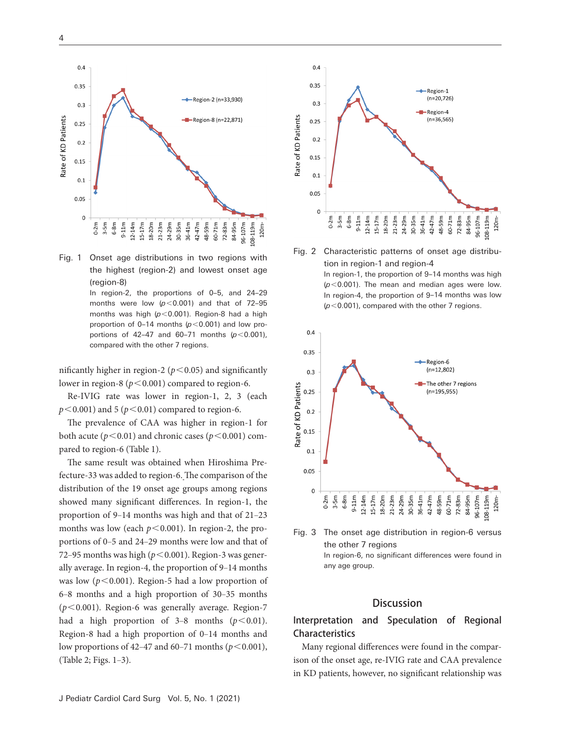





In region-2, the proportions of 0-5, and 24-29 months were low  $(p<0.001)$  and that of 72-95 months was high (*p*<0.001). Region-8 had a high proportion of 0–14 months  $(p<0.001)$  and low proportions of 42‒47 and 60‒71 months (*p*<0.001), compared with the other 7 regions.

nificantly higher in region-2 ( $p < 0.05$ ) and significantly lower in region-8 ( $p < 0.001$ ) compared to region-6.

Re-IVIG rate was lower in region-1, 2, 3 (each  $p < 0.001$ ) and 5 ( $p < 0.01$ ) compared to region-6.

The prevalence of CAA was higher in region-1 for both acute ( $p < 0.01$ ) and chronic cases ( $p < 0.001$ ) compared to region-6 (Table 1).

The same result was obtained when Hiroshima Prefecture-33 was added to region-6. The comparison of the distribution of the 19 onset age groups among regions showed many significant differences. In region-1, the proportion of 9-14 months was high and that of 21-23 months was low (each  $p < 0.001$ ). In region-2, the proportions of 0–5 and 24–29 months were low and that of 72–95 months was high ( $p < 0.001$ ). Region-3 was generally average. In region-4, the proportion of 9–14 months was low  $(p<0.001)$ . Region-5 had a low proportion of 6‒8 months and a high proportion of 30‒35 months (*p*<0.001). Region-6 was generally average. Region-7 had a high proportion of  $3-8$  months  $(p<0.01)$ . Region-8 had a high proportion of 0–14 months and low proportions of 42–47 and 60–71 months ( $p < 0.001$ ), (Table 2; Figs. 1‒3).





In region-1, the proportion of 9-14 months was high (*p*<0.001). The mean and median ages were low. In region-4, the proportion of 9–14 months was low (*p*<0.001), compared with the other 7 regions.



Fig. 3 The onset age distribution in region-6 versus the other 7 regions In region-6, no significant differences were found in any age group.

## **Discussion**

## Interpretation and Speculation of Regional Characteristics

Many regional differences were found in the comparison of the onset age, re-IVIG rate and CAA prevalence in KD patients, however, no significant relationship was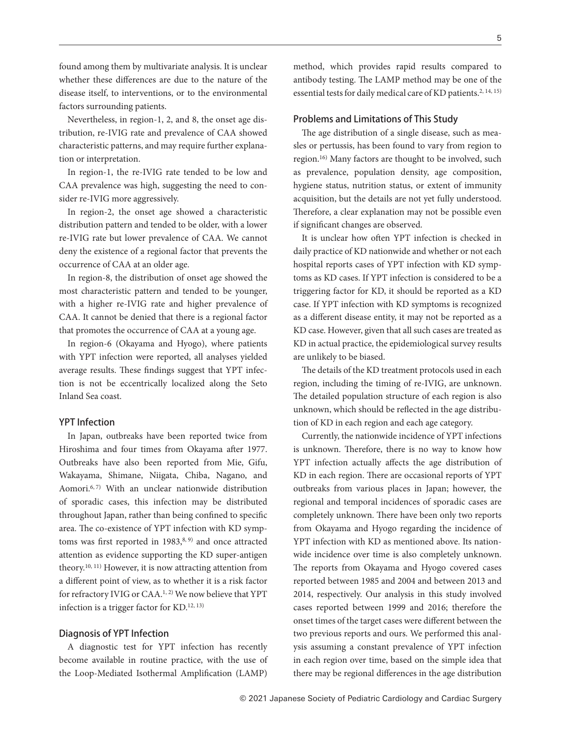found among them by multivariate analysis. It is unclear whether these differences are due to the nature of the disease itself, to interventions, or to the environmental factors surrounding patients.

Nevertheless, in region-1, 2, and 8, the onset age distribution, re-IVIG rate and prevalence of CAA showed characteristic patterns, and may require further explanation or interpretation.

In region-1, the re-IVIG rate tended to be low and CAA prevalence was high, suggesting the need to consider re-IVIG more aggressively.

In region-2, the onset age showed a characteristic distribution pattern and tended to be older, with a lower re-IVIG rate but lower prevalence of CAA. We cannot deny the existence of a regional factor that prevents the occurrence of CAA at an older age.

In region-8, the distribution of onset age showed the most characteristic pattern and tended to be younger, with a higher re-IVIG rate and higher prevalence of CAA. It cannot be denied that there is a regional factor that promotes the occurrence of CAA at a young age.

In region-6 (Okayama and Hyogo), where patients with YPT infection were reported, all analyses yielded average results. These findings suggest that YPT infection is not be eccentrically localized along the Seto Inland Sea coast.

#### YPT Infection

In Japan, outbreaks have been reported twice from Hiroshima and four times from Okayama after 1977. Outbreaks have also been reported from Mie, Gifu, Wakayama, Shimane, Niigata, Chiba, Nagano, and Aomori.<sup>6, 7)</sup> With an unclear nationwide distribution of sporadic cases, this infection may be distributed throughout Japan, rather than being confined to specific area. The co-existence of YPT infection with KD symptoms was first reported in  $1983$ ,  $8, 9)$  and once attracted attention as evidence supporting the KD super-antigen theory.10, 11) However, it is now attracting attention from a different point of view, as to whether it is a risk factor for refractory IVIG or CAA.<sup>1, 2)</sup> We now believe that YPT infection is a trigger factor for KD.12, 13)

#### Diagnosis of YPT Infection

A diagnostic test for YPT infection has recently become available in routine practice, with the use of the Loop-Mediated Isothermal Amplification (LAMP)

method, which provides rapid results compared to antibody testing. The LAMP method may be one of the essential tests for daily medical care of KD patients.<sup>2, 14, 15)</sup>

## Problems and Limitations of This Study

The age distribution of a single disease, such as measles or pertussis, has been found to vary from region to region.16) Many factors are thought to be involved, such as prevalence, population density, age composition, hygiene status, nutrition status, or extent of immunity acquisition, but the details are not yet fully understood. Therefore, a clear explanation may not be possible even if significant changes are observed.

It is unclear how often YPT infection is checked in daily practice of KD nationwide and whether or not each hospital reports cases of YPT infection with KD symptoms as KD cases. If YPT infection is considered to be a triggering factor for KD, it should be reported as a KD case. If YPT infection with KD symptoms is recognized as a different disease entity, it may not be reported as a KD case. However, given that all such cases are treated as KD in actual practice, the epidemiological survey results are unlikely to be biased.

The details of the KD treatment protocols used in each region, including the timing of re-IVIG, are unknown. The detailed population structure of each region is also unknown, which should be reflected in the age distribution of KD in each region and each age category.

Currently, the nationwide incidence of YPT infections is unknown. Therefore, there is no way to know how YPT infection actually affects the age distribution of KD in each region. There are occasional reports of YPT outbreaks from various places in Japan; however, the regional and temporal incidences of sporadic cases are completely unknown. There have been only two reports from Okayama and Hyogo regarding the incidence of YPT infection with KD as mentioned above. Its nationwide incidence over time is also completely unknown. The reports from Okayama and Hyogo covered cases reported between 1985 and 2004 and between 2013 and 2014, respectively. Our analysis in this study involved cases reported between 1999 and 2016; therefore the onset times of the target cases were different between the two previous reports and ours. We performed this analysis assuming a constant prevalence of YPT infection in each region over time, based on the simple idea that there may be regional differences in the age distribution